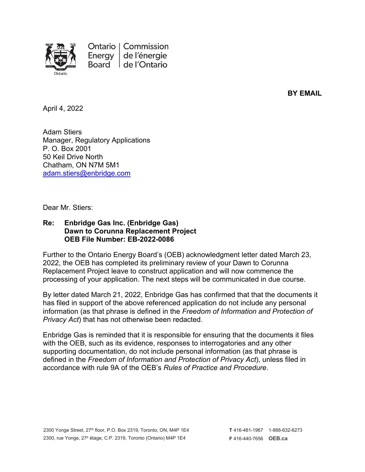

**BY EMAIL**

April 4, 2022

Adam Stiers Manager, Regulatory Applications P. O. Box 2001 50 Keil Drive North Chatham, ON N7M 5M1 [adam.stiers@enbridge.com](mailto:adam.stiers@enbridge.com)

Dear Mr. Stiers:

## **Re: Enbridge Gas Inc. (Enbridge Gas) Dawn to Corunna Replacement Project OEB File Number: EB-2022-0086**

Further to the Ontario Energy Board's (OEB) acknowledgment letter dated March 23, 2022, the OEB has completed its preliminary review of your Dawn to Corunna Replacement Project leave to construct application and will now commence the processing of your application. The next steps will be communicated in due course.

By letter dated March 21, 2022, Enbridge Gas has confirmed that that the documents it has filed in support of the above referenced application do not include any personal information (as that phrase is defined in the *Freedom of Information and Protection of Privacy Act*) that has not otherwise been redacted.

Enbridge Gas is reminded that it is responsible for ensuring that the documents it files with the OEB, such as its evidence, responses to interrogatories and any other supporting documentation, do not include personal information (as that phrase is defined in the *Freedom of Information and Protection of Privacy Act*), unless filed in accordance with rule 9A of the OEB's *Rules of Practice and Procedure*.